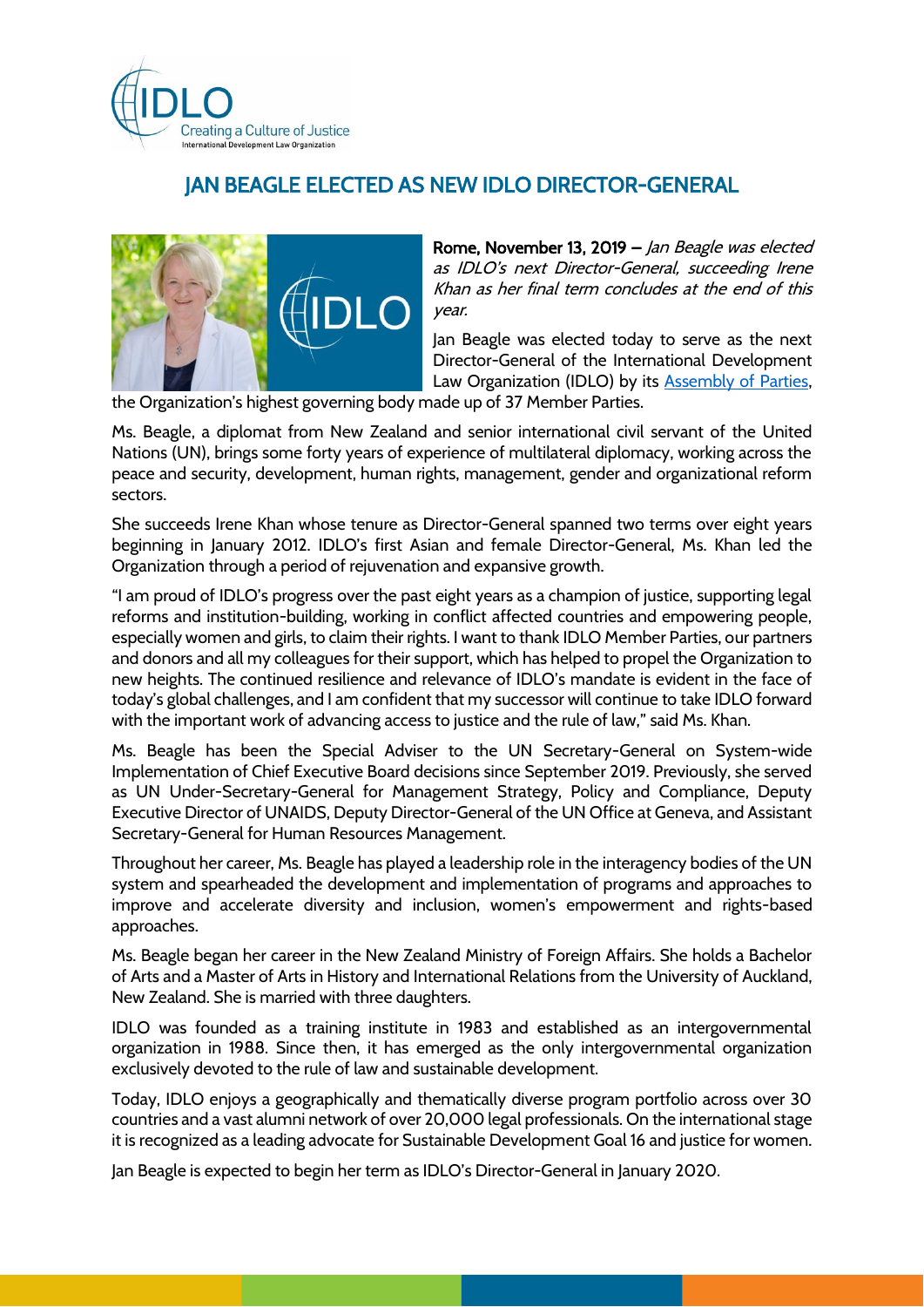

## JAN BEAGLE ELECTED AS NEW IDLO DIRECTOR-GENERAL



Rome, November 13, 2019 – Jan Beagle was elected as IDLO's next Director-General, succeeding Irene Khan as her final term concludes at the end of this year.

Jan Beagle was elected today to serve as the next Director-General of the International Development Law Organization (IDLO) by its **Assembly of Parties**,

the Organization's highest governing body made up of 37 Member Parties.

Ms. Beagle, a diplomat from New Zealand and senior international civil servant of the United Nations (UN), brings some forty years of experience of multilateral diplomacy, working across the peace and security, development, human rights, management, gender and organizational reform sectors.

She succeeds Irene Khan whose tenure as Director-General spanned two terms over eight years beginning in January 2012. IDLO's first Asian and female Director-General, Ms. Khan led the Organization through a period of rejuvenation and expansive growth.

"I am proud of IDLO's progress over the past eight years as a champion of justice, supporting legal reforms and institution-building, working in conflict affected countries and empowering people, especially women and girls, to claim their rights. I want to thank IDLO Member Parties, our partners and donors and all my colleagues for their support, which has helped to propel the Organization to new heights. The continued resilience and relevance of IDLO's mandate is evident in the face of today's global challenges, and I am confident that my successor will continue to take IDLO forward with the important work of advancing access to justice and the rule of law," said Ms. Khan.

Ms. Beagle has been the Special Adviser to the UN Secretary-General on System-wide Implementation of Chief Executive Board decisions since September 2019. Previously, she served as UN Under-Secretary-General for Management Strategy, Policy and Compliance, Deputy Executive Director of UNAIDS, Deputy Director-General of the UN Office at Geneva, and Assistant Secretary-General for Human Resources Management.

Throughout her career, Ms. Beagle has played a leadership role in the interagency bodies of the UN system and spearheaded the development and implementation of programs and approaches to improve and accelerate diversity and inclusion, women's empowerment and rights-based approaches.

Ms. Beagle began her career in the New Zealand Ministry of Foreign Affairs. She holds a Bachelor of Arts and a Master of Arts in History and International Relations from the University of Auckland, New Zealand. She is married with three daughters.

IDLO was founded as a training institute in 1983 and established as an intergovernmental organization in 1988. Since then, it has emerged as the only intergovernmental organization exclusively devoted to the rule of law and sustainable development.

Today, IDLO enjoys a geographically and thematically diverse program portfolio across over 30 countries and a vast alumni network of over 20,000 legal professionals. On the international stage it is recognized as a leading advocate for Sustainable Development Goal 16 and justice for women.

Jan Beagle is expected to begin her term as IDLO's Director-General in January 2020.